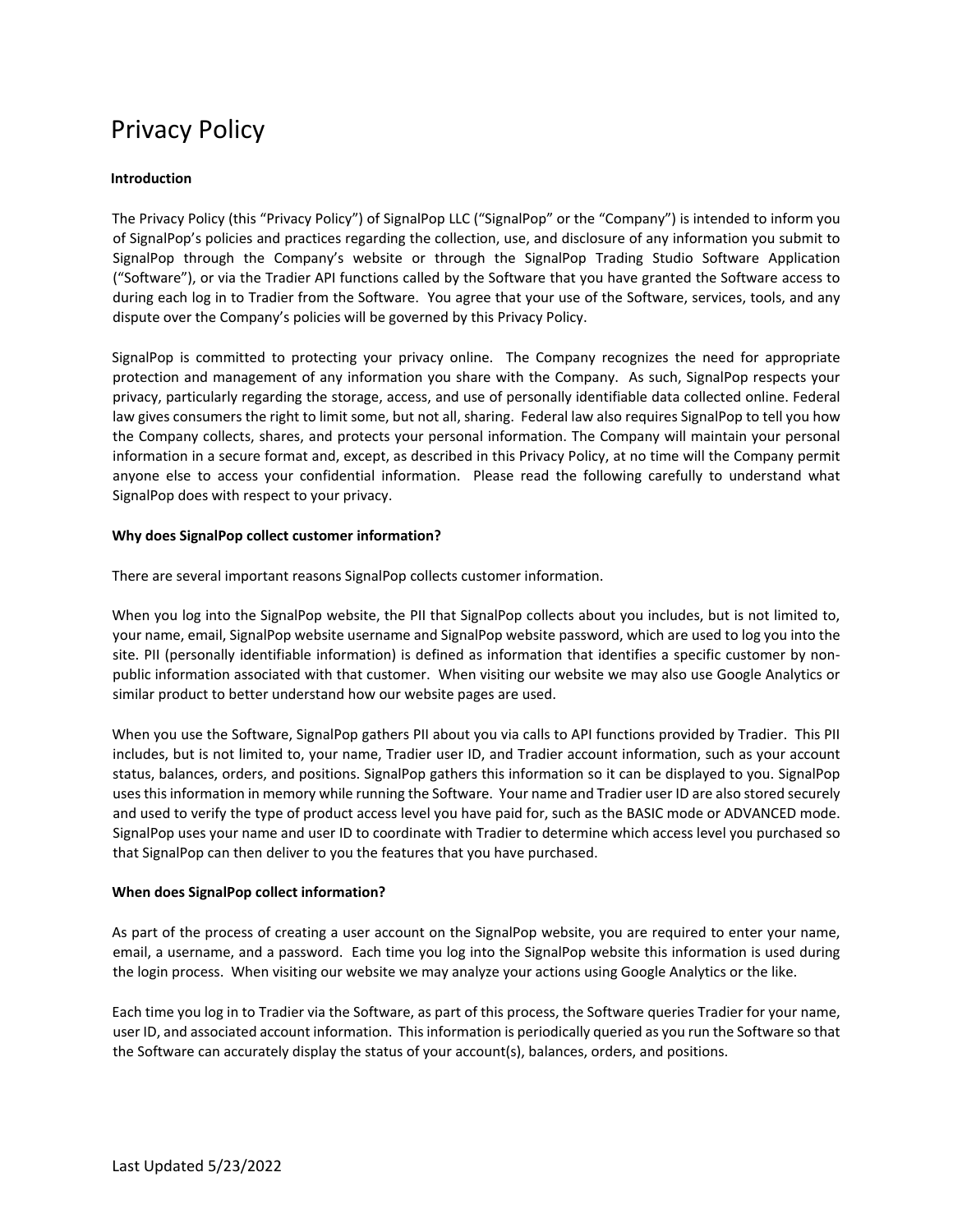# Privacy Policy

# **Introduction**

The Privacy Policy (this "Privacy Policy") of SignalPop LLC ("SignalPop" or the "Company") is intended to inform you of SignalPop's policies and practices regarding the collection, use, and disclosure of any information you submit to SignalPop through the Company's website or through the SignalPop Trading Studio Software Application ("Software"), or via the Tradier API functions called by the Software that you have granted the Software access to during each log in to Tradier from the Software. You agree that your use of the Software, services, tools, and any dispute over the Company's policies will be governed by this Privacy Policy.

SignalPop is committed to protecting your privacy online. The Company recognizes the need for appropriate protection and management of any information you share with the Company. As such, SignalPop respects your privacy, particularly regarding the storage, access, and use of personally identifiable data collected online. Federal law gives consumers the right to limit some, but not all, sharing. Federal law also requires SignalPop to tell you how the Company collects, shares, and protects your personal information. The Company will maintain your personal information in a secure format and, except, as described in this Privacy Policy, at no time will the Company permit anyone else to access your confidential information. Please read the following carefully to understand what SignalPop does with respect to your privacy.

#### **Why does SignalPop collect customer information?**

There are several important reasons SignalPop collects customer information.

When you log into the SignalPop website, the PII that SignalPop collects about you includes, but is not limited to, your name, email, SignalPop website username and SignalPop website password, which are used to log you into the site. PII (personally identifiable information) is defined as information that identifies a specific customer by nonpublic information associated with that customer. When visiting our website we may also use Google Analytics or similar product to better understand how our website pages are used.

When you use the Software, SignalPop gathers PII about you via calls to API functions provided by Tradier. This PII includes, but is not limited to, your name, Tradier user ID, and Tradier account information, such as your account status, balances, orders, and positions. SignalPop gathers this information so it can be displayed to you. SignalPop uses this information in memory while running the Software. Your name and Tradier user ID are also stored securely and used to verify the type of product access level you have paid for, such as the BASIC mode or ADVANCED mode. SignalPop uses your name and user ID to coordinate with Tradier to determine which access level you purchased so that SignalPop can then deliver to you the features that you have purchased.

#### **When does SignalPop collect information?**

As part of the process of creating a user account on the SignalPop website, you are required to enter your name, email, a username, and a password. Each time you log into the SignalPop website this information is used during the login process. When visiting our website we may analyze your actions using Google Analytics or the like.

Each time you log in to Tradier via the Software, as part of this process, the Software queries Tradier for your name, user ID, and associated account information. This information is periodically queried as you run the Software so that the Software can accurately display the status of your account(s), balances, orders, and positions.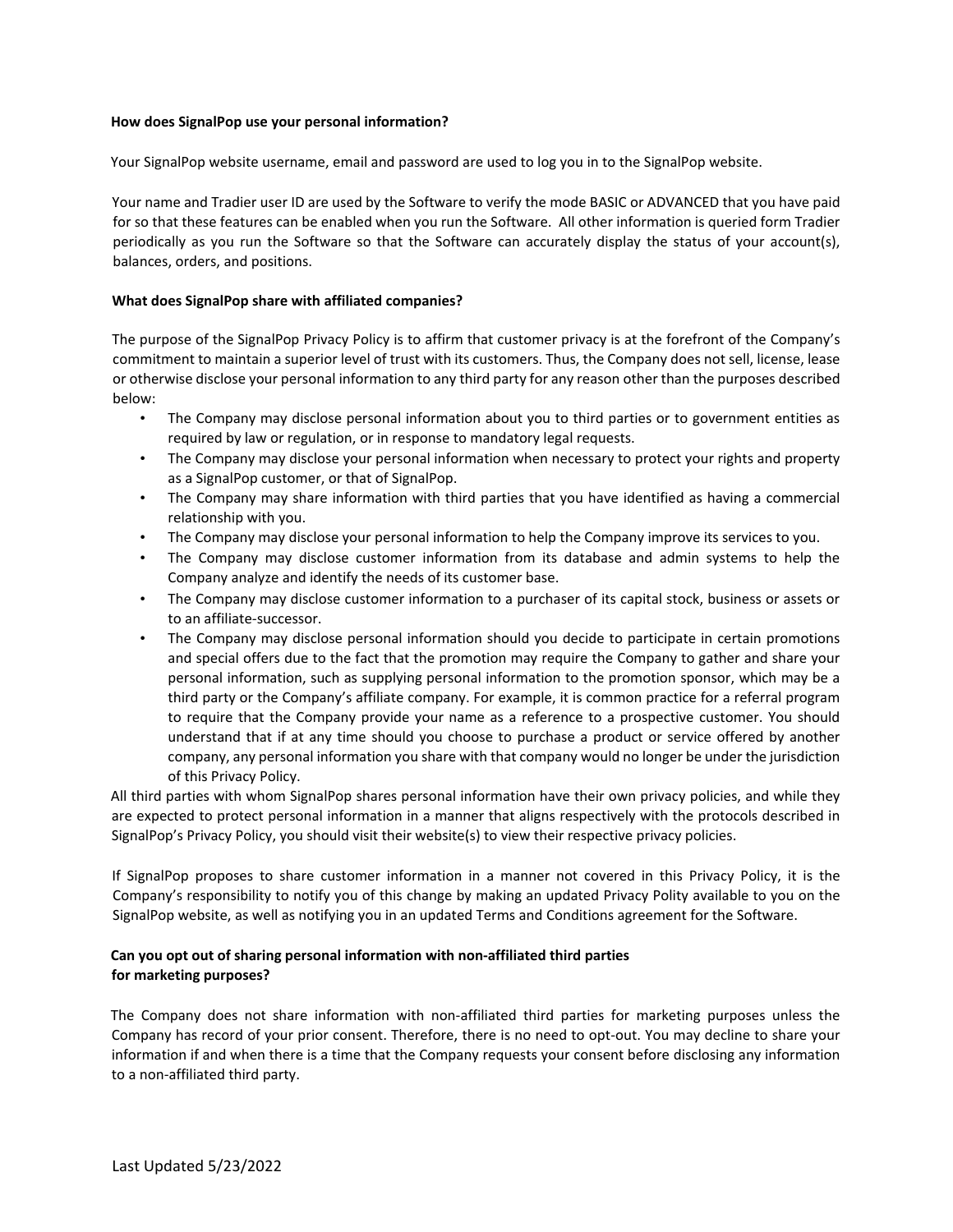#### **How does SignalPop use your personal information?**

Your SignalPop website username, email and password are used to log you in to the SignalPop website.

Your name and Tradier user ID are used by the Software to verify the mode BASIC or ADVANCED that you have paid for so that these features can be enabled when you run the Software. All other information is queried form Tradier periodically as you run the Software so that the Software can accurately display the status of your account(s), balances, orders, and positions.

#### **What does SignalPop share with affiliated companies?**

The purpose of the SignalPop Privacy Policy is to affirm that customer privacy is at the forefront of the Company's commitment to maintain a superior level of trust with its customers. Thus, the Company does not sell, license, lease or otherwise disclose your personal information to any third party for any reason other than the purposes described below:

- The Company may disclose personal information about you to third parties or to government entities as required by law or regulation, or in response to mandatory legal requests.
- The Company may disclose your personal information when necessary to protect your rights and property as a SignalPop customer, or that of SignalPop.
- The Company may share information with third parties that you have identified as having a commercial relationship with you.
- The Company may disclose your personal information to help the Company improve its services to you.
- The Company may disclose customer information from its database and admin systems to help the Company analyze and identify the needs of its customer base.
- The Company may disclose customer information to a purchaser of its capital stock, business or assets or to an affiliate-successor.
- The Company may disclose personal information should you decide to participate in certain promotions and special offers due to the fact that the promotion may require the Company to gather and share your personal information, such as supplying personal information to the promotion sponsor, which may be a third party or the Company's affiliate company. For example, it is common practice for a referral program to require that the Company provide your name as a reference to a prospective customer. You should understand that if at any time should you choose to purchase a product or service offered by another company, any personal information you share with that company would no longer be under the jurisdiction of this Privacy Policy.

All third parties with whom SignalPop shares personal information have their own privacy policies, and while they are expected to protect personal information in a manner that aligns respectively with the protocols described in SignalPop's Privacy Policy, you should visit their website(s) to view their respective privacy policies.

If SignalPop proposes to share customer information in a manner not covered in this Privacy Policy, it is the Company's responsibility to notify you of this change by making an updated Privacy Polity available to you on the SignalPop website, as well as notifying you in an updated Terms and Conditions agreement for the Software.

# **Can you opt out of sharing personal information with non-affiliated third parties for marketing purposes?**

The Company does not share information with non-affiliated third parties for marketing purposes unless the Company has record of your prior consent. Therefore, there is no need to opt-out. You may decline to share your information if and when there is a time that the Company requests your consent before disclosing any information to a non-affiliated third party.